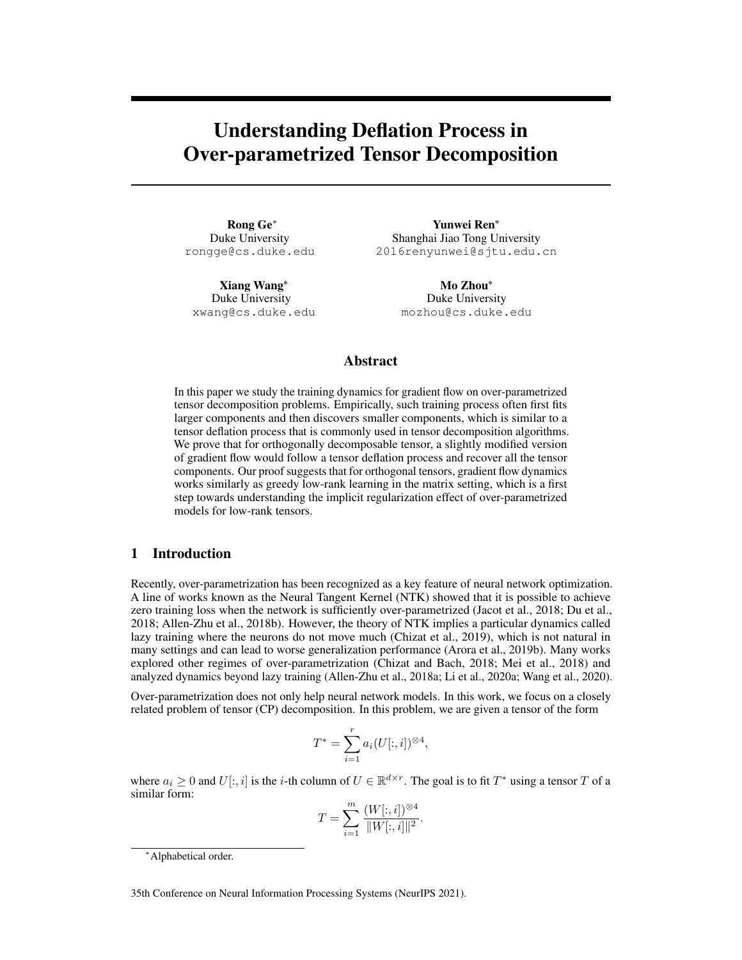# Understanding Deflation Process in Over-parametrized Tensor Decomposition

Rong Ge<sup>∗</sup> Duke University rongge@cs.duke.edu

Xiang Wang\* Duke University xwang@cs.duke.edu

Yunwei Ren\* Shanghai Jiao Tong University 2016renyunwei@sjtu.edu.cn

> Mo Zhou\* Duke University mozhou@cs.duke.edu

# Abstract

In this paper we study the training dynamics for gradient flow on over-parametrized tensor decomposition problems. Empirically, such training process often first fits larger components and then discovers smaller components, which is similar to a tensor deflation process that is commonly used in tensor decomposition algorithms. We prove that for orthogonally decomposable tensor, a slightly modified version of gradient flow would follow a tensor deflation process and recover all the tensor components. Our proof suggests that for orthogonal tensors, gradient flow dynamics works similarly as greedy low-rank learning in the matrix setting, which is a first step towards understanding the implicit regularization effect of over-parametrized models for low-rank tensors.

# 1 Introduction

Recently, over-parametrization has been recognized as a key feature of neural network optimization. A line of works known as the Neural Tangent Kernel (NTK) showed that it is possible to achieve zero training loss when the network is sufficiently over-parametrized [\(Jacot et al.,](#page-11-0) [2018;](#page-11-0) [Du et al.,](#page-10-0) [2018;](#page-10-0) [Allen-Zhu et al.,](#page-10-1) [2018b\)](#page-10-1). However, the theory of NTK implies a particular dynamics called lazy training where the neurons do not move much [\(Chizat et al.,](#page-10-2) [2019\)](#page-10-2), which is not natural in many settings and can lead to worse generalization performance [\(Arora et al.,](#page-10-3) [2019b\)](#page-10-3). Many works explored other regimes of over-parametrization [\(Chizat and Bach,](#page-10-4) [2018;](#page-10-4) [Mei et al.,](#page-11-1) [2018\)](#page-11-1) and analyzed dynamics beyond lazy training [\(Allen-Zhu et al.,](#page-9-0) [2018a;](#page-9-0) [Li et al.,](#page-11-2) [2020a;](#page-11-2) [Wang et al.,](#page-12-0) [2020\)](#page-12-0).

Over-parametrization does not only help neural network models. In this work, we focus on a closely related problem of tensor (CP) decomposition. In this problem, we are given a tensor of the form

$$
T^* = \sum_{i=1}^r a_i (U[:, i])^{\otimes 4},
$$

where  $a_i \geq 0$  and  $U[:, i]$  is the *i*-th column of  $U \in \mathbb{R}^{d \times r}$ . The goal is to fit  $T^*$  using a tensor  $T$  of a similar form:

$$
T = \sum_{i=1}^{m} \frac{(W[:, i])^{\otimes 4}}{\|W[:, i]\|^2}.
$$

35th Conference on Neural Information Processing Systems (NeurIPS 2021).

<sup>∗</sup>Alphabetical order.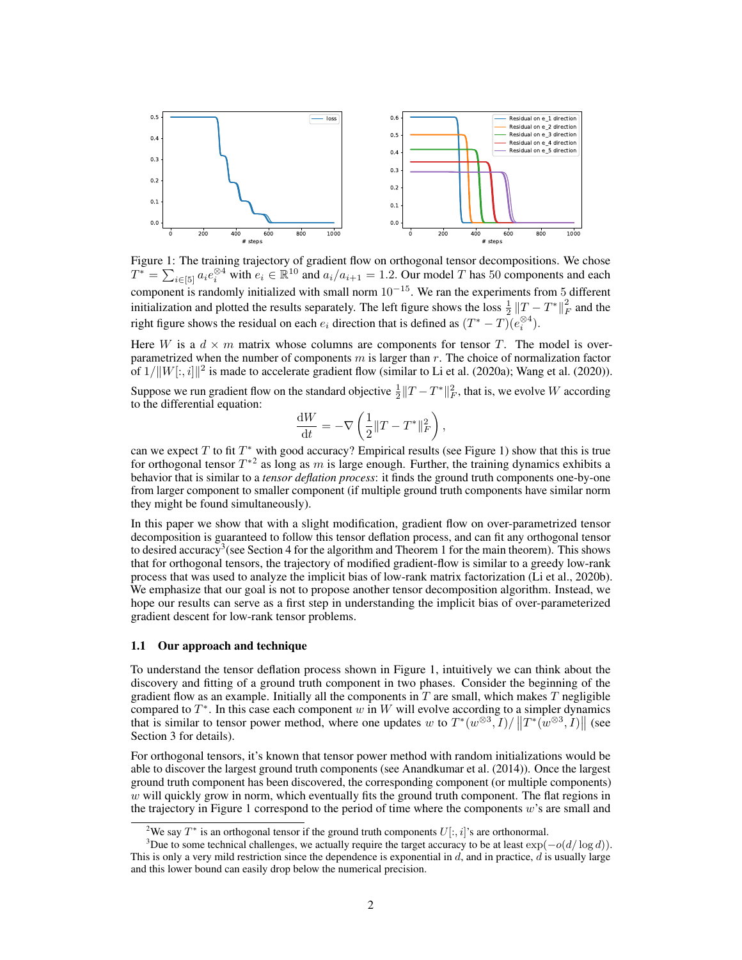

Figure 1: The training trajectory of gradient flow on orthogonal tensor decompositions. We chose  $T^* = \sum_{i \in [5]} a_i e_i^{\otimes 4}$  with  $e_i \in \mathbb{R}^{10}$  and  $a_i/a_{i+1} = 1.2$ . Our model T has 50 components and each component is randomly initialized with small norm  $10^{-15}$ . We ran the experiments from 5 different initialization and plotted the results separately. The left figure shows the loss  $\frac{1}{2}||T - T^*||_F^2$  and the right figure shows the residual on each  $e_i$  direction that is defined as  $(T^* - T)(e_i^{\otimes 4})$ .

Here W is a  $d \times m$  matrix whose columns are components for tensor T. The model is overparametrized when the number of components  $m$  is larger than  $r$ . The choice of normalization factor of  $1/||W[:, i]||^2$  is made to accelerate gradient flow (similar to [Li et al.](#page-11-2) [\(2020a\)](#page-11-2); [Wang et al.](#page-12-0) [\(2020\)](#page-12-0)).

Suppose we run gradient flow on the standard objective  $\frac{1}{2} ||T - T^*||_F^2$ , that is, we evolve W according to the differential equation:

<span id="page-1-0"></span>
$$
\frac{\mathrm{d}W}{\mathrm{d}t} = -\nabla\left(\frac{1}{2}\|T-T^*\|_F^2\right),\,
$$

can we expect T to fit  $T^*$  with good accuracy? Empirical results (see Figure [1\)](#page-1-0) show that this is true for orthogonal tensor  $T^{*2}$  $T^{*2}$  $T^{*2}$  as long as m is large enough. Further, the training dynamics exhibits a behavior that is similar to a *tensor deflation process*: it finds the ground truth components one-by-one from larger component to smaller component (if multiple ground truth components have similar norm they might be found simultaneously).

In this paper we show that with a slight modification, gradient flow on over-parametrized tensor decomposition is guaranteed to follow this tensor deflation process, and can fit any orthogonal tensor to desired accuracy<sup>[3](#page-1-2)</sup> (see Section [4](#page-5-0) for the algorithm and Theorem [1](#page-6-0) for the main theorem). This shows that for orthogonal tensors, the trajectory of modified gradient-flow is similar to a greedy low-rank process that was used to analyze the implicit bias of low-rank matrix factorization [\(Li et al.,](#page-11-3) [2020b\)](#page-11-3). We emphasize that our goal is not to propose another tensor decomposition algorithm. Instead, we hope our results can serve as a first step in understanding the implicit bias of over-parameterized gradient descent for low-rank tensor problems.

#### 1.1 Our approach and technique

To understand the tensor deflation process shown in Figure [1,](#page-1-0) intuitively we can think about the discovery and fitting of a ground truth component in two phases. Consider the beginning of the gradient flow as an example. Initially all the components in  $T$  are small, which makes  $T$  negligible compared to  $T^*$ . In this case each component w in W will evolve according to a simpler dynamics that is similar to tensor power method, where one updates w to  $T^*(w^{\otimes 3}, I)/||T^*(w^{\otimes 3}, I)||$  (see Section [3](#page-4-0) for details).

For orthogonal tensors, it's known that tensor power method with random initializations would be able to discover the largest ground truth components (see [Anandkumar et al.](#page-10-5) [\(2014\)](#page-10-5)). Once the largest ground truth component has been discovered, the corresponding component (or multiple components)  $w$  will quickly grow in norm, which eventually fits the ground truth component. The flat regions in the trajectory in Figure [1](#page-1-0) correspond to the period of time where the components  $w$ 's are small and

<span id="page-1-2"></span><span id="page-1-1"></span><sup>&</sup>lt;sup>2</sup>We say  $T^*$  is an orthogonal tensor if the ground truth components  $U[:, i]$ 's are orthonormal.

<sup>&</sup>lt;sup>3</sup>Due to some technical challenges, we actually require the target accuracy to be at least  $\exp(-o(d/\log d))$ . This is only a very mild restriction since the dependence is exponential in  $d$ , and in practice,  $d$  is usually large and this lower bound can easily drop below the numerical precision.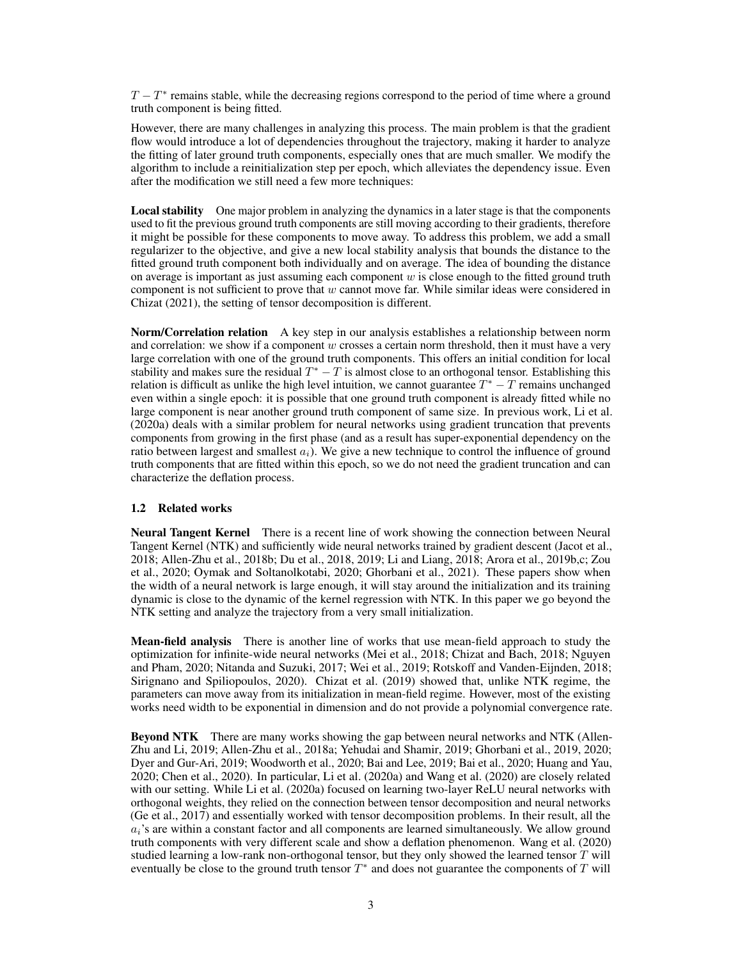$T - T^*$  remains stable, while the decreasing regions correspond to the period of time where a ground truth component is being fitted.

However, there are many challenges in analyzing this process. The main problem is that the gradient flow would introduce a lot of dependencies throughout the trajectory, making it harder to analyze the fitting of later ground truth components, especially ones that are much smaller. We modify the algorithm to include a reinitialization step per epoch, which alleviates the dependency issue. Even after the modification we still need a few more techniques:

Local stability One major problem in analyzing the dynamics in a later stage is that the components used to fit the previous ground truth components are still moving according to their gradients, therefore it might be possible for these components to move away. To address this problem, we add a small regularizer to the objective, and give a new local stability analysis that bounds the distance to the fitted ground truth component both individually and on average. The idea of bounding the distance on average is important as just assuming each component  $w$  is close enough to the fitted ground truth component is not sufficient to prove that  $w$  cannot move far. While similar ideas were considered in [Chizat](#page-10-6) [\(2021\)](#page-10-6), the setting of tensor decomposition is different.

Norm/Correlation relation A key step in our analysis establishes a relationship between norm and correlation: we show if a component  $w$  crosses a certain norm threshold, then it must have a very large correlation with one of the ground truth components. This offers an initial condition for local stability and makes sure the residual  $T^* - T$  is almost close to an orthogonal tensor. Establishing this relation is difficult as unlike the high level intuition, we cannot guarantee  $T^* - T$  remains unchanged even within a single epoch: it is possible that one ground truth component is already fitted while no large component is near another ground truth component of same size. In previous work, [Li et al.](#page-11-2) [\(2020a\)](#page-11-2) deals with a similar problem for neural networks using gradient truncation that prevents components from growing in the first phase (and as a result has super-exponential dependency on the ratio between largest and smallest  $a_i$ ). We give a new technique to control the influence of ground truth components that are fitted within this epoch, so we do not need the gradient truncation and can characterize the deflation process.

#### 1.2 Related works

Neural Tangent Kernel There is a recent line of work showing the connection between Neural Tangent Kernel (NTK) and sufficiently wide neural networks trained by gradient descent [\(Jacot et al.,](#page-11-0) [2018;](#page-11-0) [Allen-Zhu et al.,](#page-10-1) [2018b;](#page-10-1) [Du et al.,](#page-10-0) [2018,](#page-10-0) [2019;](#page-10-7) [Li and Liang,](#page-11-4) [2018;](#page-11-4) [Arora et al.,](#page-10-3) [2019b](#page-10-3)[,c;](#page-10-8) [Zou](#page-12-1) [et al.,](#page-12-1) [2020;](#page-12-1) [Oymak and Soltanolkotabi,](#page-11-5) [2020;](#page-11-5) [Ghorbani et al.,](#page-10-9) [2021\)](#page-10-9). These papers show when the width of a neural network is large enough, it will stay around the initialization and its training dynamic is close to the dynamic of the kernel regression with NTK. In this paper we go beyond the NTK setting and analyze the trajectory from a very small initialization.

Mean-field analysis There is another line of works that use mean-field approach to study the optimization for infinite-wide neural networks [\(Mei et al.,](#page-11-1) [2018;](#page-11-1) [Chizat and Bach,](#page-10-4) [2018;](#page-10-4) [Nguyen](#page-11-6) [and Pham,](#page-11-6) [2020;](#page-11-6) [Nitanda and Suzuki,](#page-11-7) [2017;](#page-11-7) [Wei et al.,](#page-12-2) [2019;](#page-12-2) [Rotskoff and Vanden-Eijnden,](#page-11-8) [2018;](#page-11-8) [Sirignano and Spiliopoulos,](#page-12-3) [2020\)](#page-12-3). [Chizat et al.](#page-10-2) [\(2019\)](#page-10-2) showed that, unlike NTK regime, the parameters can move away from its initialization in mean-field regime. However, most of the existing works need width to be exponential in dimension and do not provide a polynomial convergence rate.

Beyond NTK There are many works showing the gap between neural networks and NTK [\(Allen-](#page-9-1)[Zhu and Li,](#page-9-1) [2019;](#page-9-1) [Allen-Zhu et al.,](#page-9-0) [2018a;](#page-9-0) [Yehudai and Shamir,](#page-12-4) [2019;](#page-12-4) [Ghorbani et al.,](#page-10-10) [2019,](#page-10-10) [2020;](#page-10-11) [Dyer and Gur-Ari,](#page-10-12) [2019;](#page-10-12) [Woodworth et al.,](#page-12-5) [2020;](#page-12-5) [Bai and Lee,](#page-10-13) [2019;](#page-10-13) [Bai et al.,](#page-10-14) [2020;](#page-10-14) [Huang and Yau,](#page-11-9) [2020;](#page-11-9) [Chen et al.,](#page-10-15) [2020\)](#page-10-15). In particular, [Li et al.](#page-11-2) [\(2020a\)](#page-11-2) and [Wang et al.](#page-12-0) [\(2020\)](#page-12-0) are closely related with our setting. While [Li et al.](#page-11-2) [\(2020a\)](#page-11-2) focused on learning two-layer ReLU neural networks with orthogonal weights, they relied on the connection between tensor decomposition and neural networks [\(Ge et al.,](#page-10-16) [2017\)](#page-10-16) and essentially worked with tensor decomposition problems. In their result, all the  $a_i$ 's are within a constant factor and all components are learned simultaneously. We allow ground truth components with very different scale and show a deflation phenomenon. [Wang et al.](#page-12-0) [\(2020\)](#page-12-0) studied learning a low-rank non-orthogonal tensor, but they only showed the learned tensor  $T$  will eventually be close to the ground truth tensor  $T^*$  and does not guarantee the components of  $T$  will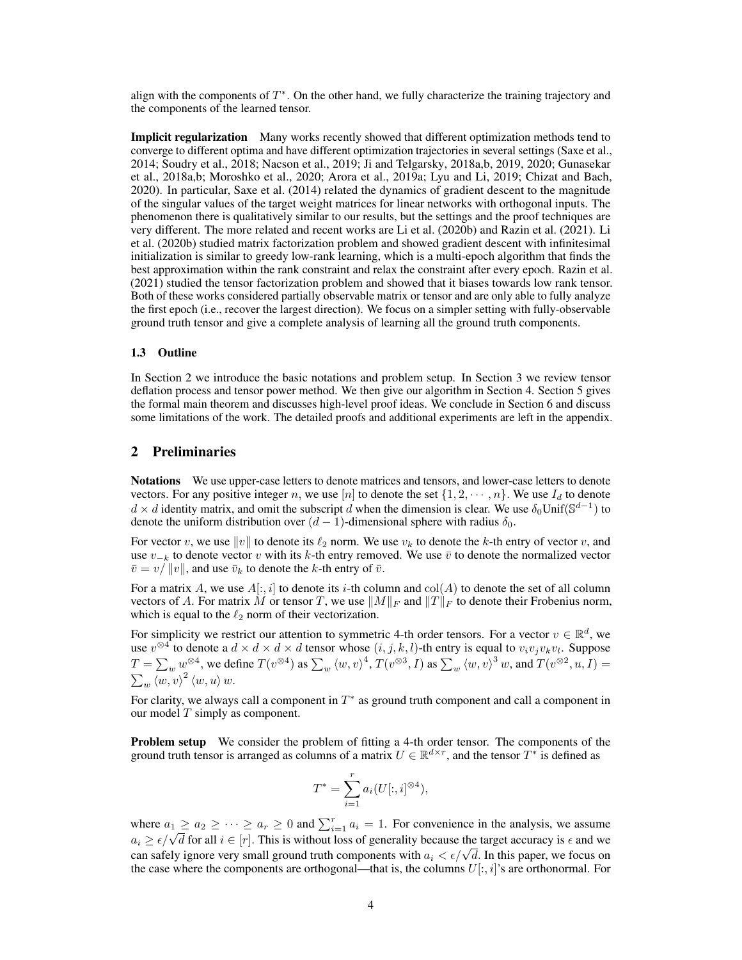align with the components of  $T^*$ . On the other hand, we fully characterize the training trajectory and the components of the learned tensor.

Implicit regularization Many works recently showed that different optimization methods tend to converge to different optima and have different optimization trajectories in several settings [\(Saxe et al.,](#page-11-10) [2014;](#page-11-10) [Soudry et al.,](#page-12-6) [2018;](#page-12-6) [Nacson et al.,](#page-11-11) [2019;](#page-11-11) [Ji and Telgarsky,](#page-11-12) [2018a,](#page-11-12)[b,](#page-11-13) [2019,](#page-11-14) [2020;](#page-11-15) [Gunasekar](#page-10-17) [et al.,](#page-10-17) [2018a](#page-10-17)[,b;](#page-10-18) [Moroshko et al.,](#page-11-16) [2020;](#page-11-16) [Arora et al.,](#page-10-19) [2019a;](#page-10-19) [Lyu and Li,](#page-11-17) [2019;](#page-11-17) [Chizat and Bach,](#page-10-20) [2020\)](#page-10-20). In particular, [Saxe et al.](#page-11-10) [\(2014\)](#page-11-10) related the dynamics of gradient descent to the magnitude of the singular values of the target weight matrices for linear networks with orthogonal inputs. The phenomenon there is qualitatively similar to our results, but the settings and the proof techniques are very different. The more related and recent works are [Li et al.](#page-11-3) [\(2020b\)](#page-11-3) and [Razin et al.](#page-11-18) [\(2021\)](#page-11-18). [Li](#page-11-3) [et al.](#page-11-3) [\(2020b\)](#page-11-3) studied matrix factorization problem and showed gradient descent with infinitesimal initialization is similar to greedy low-rank learning, which is a multi-epoch algorithm that finds the best approximation within the rank constraint and relax the constraint after every epoch. [Razin et al.](#page-11-18) [\(2021\)](#page-11-18) studied the tensor factorization problem and showed that it biases towards low rank tensor. Both of these works considered partially observable matrix or tensor and are only able to fully analyze the first epoch (i.e., recover the largest direction). We focus on a simpler setting with fully-observable ground truth tensor and give a complete analysis of learning all the ground truth components.

#### 1.3 Outline

In Section [2](#page-3-0) we introduce the basic notations and problem setup. In Section [3](#page-4-0) we review tensor deflation process and tensor power method. We then give our algorithm in Section [4.](#page-5-0) Section [5](#page-6-1) gives the formal main theorem and discusses high-level proof ideas. We conclude in Section [6](#page-9-2) and discuss some limitations of the work. The detailed proofs and additional experiments are left in the appendix.

### <span id="page-3-0"></span>2 Preliminaries

Notations We use upper-case letters to denote matrices and tensors, and lower-case letters to denote vectors. For any positive integer n, we use [n] to denote the set  $\{1, 2, \dots, n\}$ . We use  $I_d$  to denote  $d \times d$  identity matrix, and omit the subscript  $\tilde{d}$  when the dimension is clear. We use  $\delta_0$ Unif $(\mathbb{S}^{d-1})$  to denote the uniform distribution over  $(d-1)$ -dimensional sphere with radius  $\delta_0$ .

For vector v, we use  $||v||$  to denote its  $\ell_2$  norm. We use  $v_k$  to denote the k-th entry of vector v, and use  $v_{-k}$  to denote vector v with its k-th entry removed. We use  $\bar{v}$  to denote the normalized vector  $\bar{v} = v/||v||$ , and use  $\bar{v}_k$  to denote the k-th entry of  $\bar{v}$ .

For a matrix A, we use  $A[:, i]$  to denote its *i*-th column and  $col(A)$  to denote the set of all column vectors of A. For matrix M or tensor T, we use  $||M||_F$  and  $||T||_F$  to denote their Frobenius norm, which is equal to the  $\ell_2$  norm of their vectorization.

For simplicity we restrict our attention to symmetric 4-th order tensors. For a vector  $v \in \mathbb{R}^d$ , we use  $v^{\otimes 4}$  to denote a  $d \times d \times d \times d$  tensor whose  $(i, j, k, l)$ -th entry is equal to  $v_i v_j v_k v_l$ . Suppose  $T = \sum_{w} w^{\otimes 4}$ , we define  $T(v^{\otimes 4})$  as  $\sum_{w} \langle w, v \rangle^4$ ,  $T(v^{\otimes 3}, I)$  as  $\sum_{w} \langle w, v \rangle^3 w$ , and  $T(v^{\otimes 2}, u, I) =$  $\sum_{w} \langle w, v \rangle^2 \langle w, u \rangle w.$ 

For clarity, we always call a component in  $T^*$  as ground truth component and call a component in our model  $T$  simply as component.

Problem setup We consider the problem of fitting a 4-th order tensor. The components of the ground truth tensor is arranged as columns of a matrix  $U \in \mathbb{R}^{d \times r}$ , and the tensor  $T^*$  is defined as

$$
T^* = \sum_{i=1}^r a_i(U[:, i]^{\otimes 4}),
$$

where  $a_1 \ge a_2 \ge \cdots \ge a_r \ge 0$  and  $\sum_{i=1}^r a_i = 1$ . For convenience in the analysis, we assume where  $a_1 \ge a_2 \ge \cdots \ge a_r \ge 0$  and  $\sum_{i=1}^r a_i = 1$ . For convenience in the analysis, we assume  $a_i \ge \epsilon/\sqrt{d}$  for all  $i \in [r]$ . This is without loss of generality because the target accuracy is  $\epsilon$  and we  $a_i \geq \epsilon/\sqrt{a}$  for an  $i \in [r]$ . This is without loss of generality because the target accuracy is  $\epsilon$  and we can safely ignore very small ground truth components with  $a_i < \epsilon/\sqrt{d}$ . In this paper, we focus on the case where the components are orthogonal—that is, the columns  $U[:, i]$ 's are orthonormal. For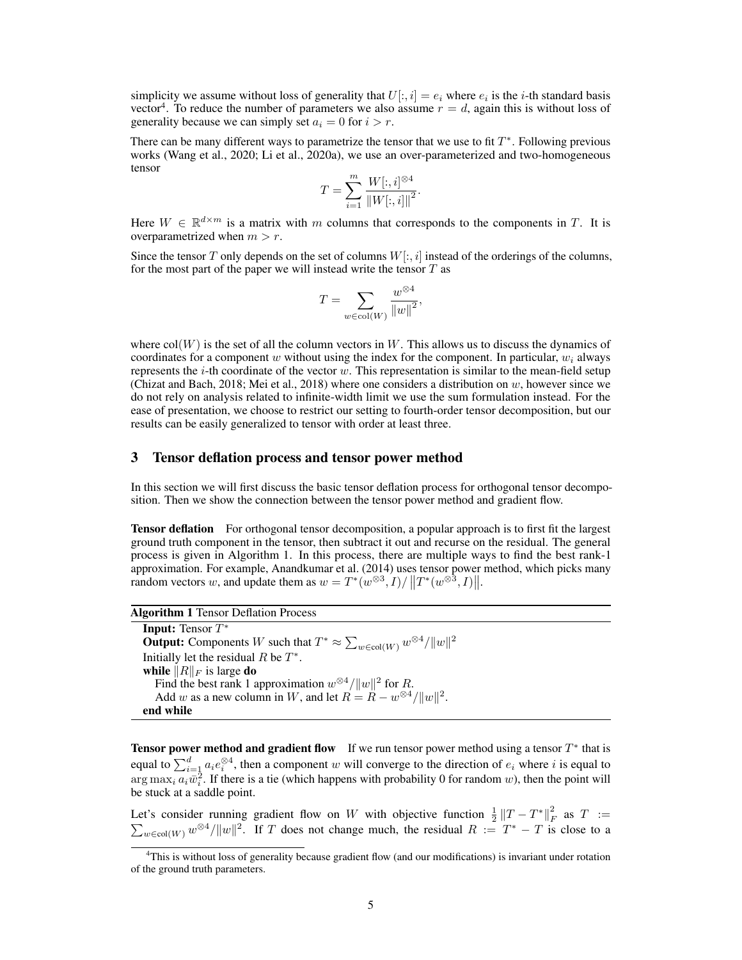simplicity we assume without loss of generality that  $U[:, i] = e_i$  where  $e_i$  is the *i*-th standard basis vector<sup>[4](#page-4-1)</sup>. To reduce the number of parameters we also assume  $r = d$ , again this is without loss of generality because we can simply set  $a_i = 0$  for  $i > r$ .

There can be many different ways to parametrize the tensor that we use to fit  $T^*$ . Following previous works [\(Wang et al.,](#page-12-0) [2020;](#page-12-0) [Li et al.,](#page-11-2) [2020a\)](#page-11-2), we use an over-parameterized and two-homogeneous tensor

$$
T = \sum_{i=1}^{m} \frac{W[:, i]^{\otimes 4}}{\|W[:, i]\|^2}.
$$

Here  $W \in \mathbb{R}^{d \times m}$  is a matrix with m columns that corresponds to the components in T. It is overparametrized when  $m > r$ .

Since the tensor T only depends on the set of columns  $W[:, i]$  instead of the orderings of the columns, for the most part of the paper we will instead write the tensor  $T$  as

$$
T = \sum_{w \in \text{col}(W)} \frac{w^{\otimes 4}}{\|w\|^2},
$$

where  $col(W)$  is the set of all the column vectors in W. This allows us to discuss the dynamics of coordinates for a component w without using the index for the component. In particular,  $w_i$  always represents the *i*-th coordinate of the vector w. This representation is similar to the mean-field setup [\(Chizat and Bach,](#page-10-4) [2018;](#page-10-4) [Mei et al.,](#page-11-1) [2018\)](#page-11-1) where one considers a distribution on w, however since we do not rely on analysis related to infinite-width limit we use the sum formulation instead. For the ease of presentation, we choose to restrict our setting to fourth-order tensor decomposition, but our results can be easily generalized to tensor with order at least three.

# <span id="page-4-0"></span>3 Tensor deflation process and tensor power method

In this section we will first discuss the basic tensor deflation process for orthogonal tensor decomposition. Then we show the connection between the tensor power method and gradient flow.

**Tensor deflation** For orthogonal tensor decomposition, a popular approach is to first fit the largest ground truth component in the tensor, then subtract it out and recurse on the residual. The general process is given in Algorithm [1.](#page-4-2) In this process, there are multiple ways to find the best rank-1 approximation. For example, [Anandkumar et al.](#page-10-5) [\(2014\)](#page-10-5) uses tensor power method, which picks many random vectors w, and update them as  $w = T^*(w^{\otimes 3}, I) / ||T^*(w^{\otimes 3}, I)||$ .

| <b>Algorithm 1 Tensor Deflation Process</b> |  |
|---------------------------------------------|--|
| <b>Input:</b> Tensor $T^*$                  |  |

<span id="page-4-2"></span>**Output:** Components W such that  $T^* \approx \sum_{w \in \text{col}(W)} w^{\otimes 4} / ||w||^2$ Initially let the residual  $R$  be  $T^*$ . while  $\|R\|_F$  is large do Find the best rank 1 approximation  $w^{\otimes 4} / ||w||^2$  for R. Add w as a new column in W, and let  $R = R - w^{\otimes 4} / ||w||^2$ . end while

**Tensor power method and gradient flow** If we run tensor power method using a tensor  $T^*$  that is equal to  $\sum_{i=1}^d a_i e_i^{\otimes 4}$ , then a component w will converge to the direction of  $e_i$  where i is equal to  $\arg \max_i a_i \bar{w}_i^2$ . If there is a tie (which happens with probability 0 for random w), then the point will be stuck at a saddle point.

Let's consider running gradient flow on W with objective function  $\frac{1}{2} ||T - T^*||_F^2$ <br> $\sum_{w \in col(W)} w^{\otimes 4} / ||w||^2$ . If T does not change much, the residual  $R := T^* - T$  is as  $T :=$  $w \in \text{col}(W)$   $w^{\otimes 4}/\|w\|^2$ . If T does not change much, the residual  $R := T^* - T$  is close to a

<span id="page-4-1"></span><sup>4</sup>This is without loss of generality because gradient flow (and our modifications) is invariant under rotation of the ground truth parameters.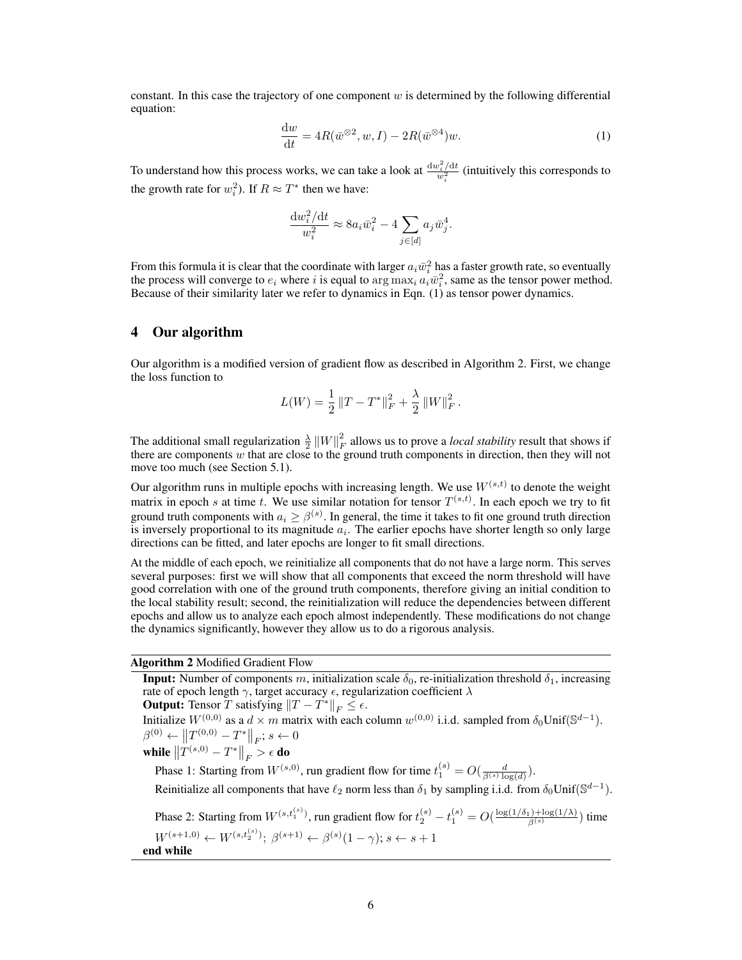<span id="page-5-1"></span>constant. In this case the trajectory of one component  $w$  is determined by the following differential equation:

$$
\frac{\mathrm{d}w}{\mathrm{d}t} = 4R(\bar{w}^{\otimes 2}, w, I) - 2R(\bar{w}^{\otimes 4})w.
$$
\n(1)

To understand how this process works, we can take a look at  $\frac{dw_i^2/dt}{w_i^2}$  (intuitively this corresponds to the growth rate for  $w_i^2$ ). If  $R \approx T^*$  then we have:

$$
\frac{\mathrm{d}w_i^2/\mathrm{d}t}{w_i^2} \approx 8a_i\bar{w}_i^2 - 4\sum_{j \in [d]} a_j\bar{w}_j^4.
$$

From this formula it is clear that the coordinate with larger  $a_i\bar{w}_i^2$  has a faster growth rate, so eventually the process will converge to  $e_i$  where i is equal to  $\arg \max_i a_i \bar{w}_i^2$ , same as the tensor power method. Because of their similarity later we refer to dynamics in Eqn. [\(1\)](#page-5-1) as tensor power dynamics.

# <span id="page-5-0"></span>4 Our algorithm

Our algorithm is a modified version of gradient flow as described in Algorithm [2.](#page-5-2) First, we change the loss function to

$$
L(W) = \frac{1}{2} ||T - T^*||_F^2 + \frac{\lambda}{2} ||W||_F^2.
$$

The additional small regularization  $\frac{\lambda}{2} ||W||_F^2$  allows us to prove a *local stability* result that shows if there are components  $w$  that are close to the ground truth components in direction, then they will not move too much (see Section [5.1\)](#page-6-2).

Our algorithm runs in multiple epochs with increasing length. We use  $W^{(s,t)}$  to denote the weight matrix in epoch s at time t. We use similar notation for tensor  $T^{(s,t)}$ . In each epoch we try to fit ground truth components with  $a_i \geq \beta^{(s)}$ . In general, the time it takes to fit one ground truth direction is inversely proportional to its magnitude  $a_i$ . The earlier epochs have shorter length so only large directions can be fitted, and later epochs are longer to fit small directions.

At the middle of each epoch, we reinitialize all components that do not have a large norm. This serves several purposes: first we will show that all components that exceed the norm threshold will have good correlation with one of the ground truth components, therefore giving an initial condition to the local stability result; second, the reinitialization will reduce the dependencies between different epochs and allow us to analyze each epoch almost independently. These modifications do not change the dynamics significantly, however they allow us to do a rigorous analysis.

Algorithm 2 Modified Gradient Flow

<span id="page-5-2"></span>**Input:** Number of components m, initialization scale  $\delta_0$ , re-initialization threshold  $\delta_1$ , increasing rate of epoch length  $\gamma$ , target accuracy  $\epsilon$ , regularization coefficient  $\lambda$ 

**Output:** Tensor T satisfying  $||T - T^*||_F \leq \epsilon$ .

Initialize  $W^{(0,0)}$  as a  $d \times m$  matrix with each column  $w^{(0,0)}$  i.i.d. sampled from  $\delta_0$ Unif $(\mathbb{S}^{d-1})$ .  $\beta^{(0)} \leftarrow \|T^{(0,0)} - T^*\|_F; s \leftarrow 0$ 

while  $\left\|T^{(s,0)} - T^*\right\|_F > \epsilon$  do

Phase 1: Starting from  $W^{(s,0)}$ , run gradient flow for time  $t_1^{(s)} = O(\frac{d}{\beta^{(s)} \log(d)})$ . Reinitialize all components that have  $\ell_2$  norm less than  $\delta_1$  by sampling i.i.d. from  $\delta_0$ Unif( $\mathbb{S}^{d-1}$ ).

Phase 2: Starting from  $W^{(s,t_1^{(s)})}$ , run gradient flow for  $t_2^{(s)} - t_1^{(s)} = O(\frac{\log(1/\delta_1) + \log(1/\lambda)}{\beta^{(s)}})$  time  $W^{(s+1,0)} \leftarrow W^{(s,t_2^{(s)})}; \ \beta^{(s+1)} \leftarrow \beta^{(s)}(1-\gamma); s \leftarrow s+1$ end while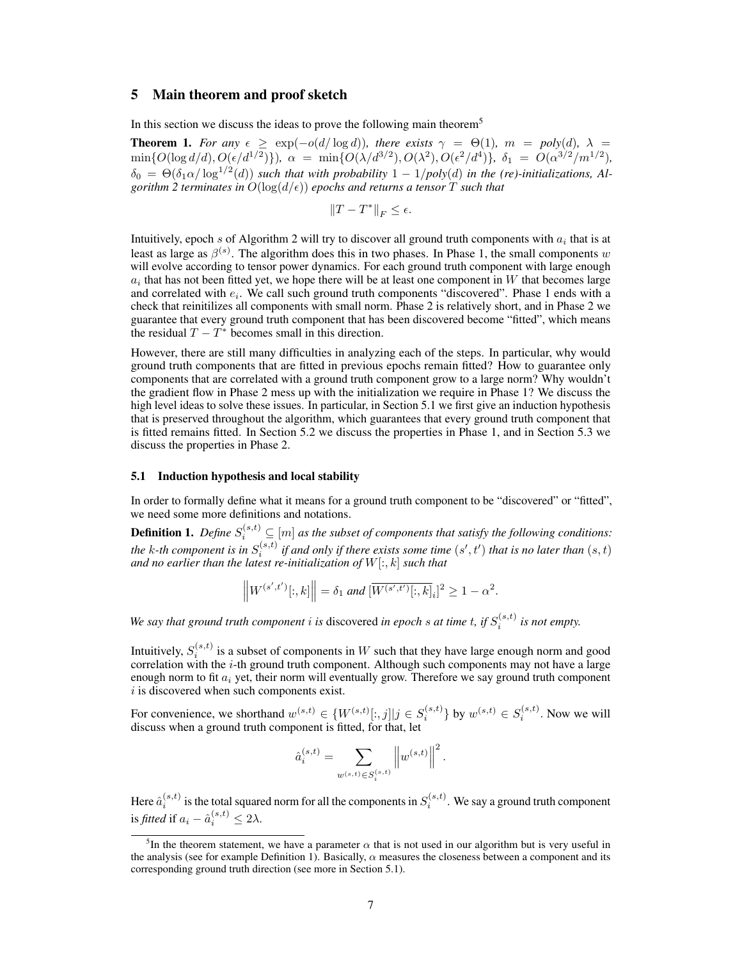# <span id="page-6-1"></span>5 Main theorem and proof sketch

In this section we discuss the ideas to prove the following main theorem<sup>[5](#page-6-3)</sup>

<span id="page-6-0"></span>**Theorem 1.** For any  $\epsilon \geq \exp(-o(d/\log d))$ , there exists  $\gamma = \Theta(1)$ ,  $m = poly(d)$ ,  $\lambda =$  $\min\{O(\log d/d), O(\epsilon/d^{1/2})\}), \alpha = \min\{O(\lambda/d^{3/2}), O(\lambda^2), O(\epsilon^2/d^4)\}, \delta_1 = O(\alpha^{3/2}/m^{1/2}),$  $\delta_0 = \Theta(\delta_1 \alpha / \log^{1/2}(d))$  such that with probability  $1 - 1/poly(d)$  in the (re)-initializations, Al*gorithm* [2](#page-5-2) *terminates in*  $O(\log(d/\epsilon))$  *epochs and returns a tensor*  $T$  *such that* 

$$
\|T-T^*\|_F\leq \epsilon.
$$

Intuitively, epoch s of Algorithm [2](#page-5-2) will try to discover all ground truth components with  $a_i$  that is at least as large as  $\beta^{(s)}$ . The algorithm does this in two phases. In Phase 1, the small components w will evolve according to tensor power dynamics. For each ground truth component with large enough  $a_i$  that has not been fitted yet, we hope there will be at least one component in W that becomes large and correlated with  $e_i$ . We call such ground truth components "discovered". Phase 1 ends with a check that reinitilizes all components with small norm. Phase 2 is relatively short, and in Phase 2 we guarantee that every ground truth component that has been discovered become "fitted", which means the residual  $T - T^*$  becomes small in this direction.

However, there are still many difficulties in analyzing each of the steps. In particular, why would ground truth components that are fitted in previous epochs remain fitted? How to guarantee only components that are correlated with a ground truth component grow to a large norm? Why wouldn't the gradient flow in Phase 2 mess up with the initialization we require in Phase 1? We discuss the high level ideas to solve these issues. In particular, in Section [5.1](#page-6-2) we first give an induction hypothesis that is preserved throughout the algorithm, which guarantees that every ground truth component that is fitted remains fitted. In Section [5.2](#page-8-0) we discuss the properties in Phase 1, and in Section [5.3](#page-9-3) we discuss the properties in Phase 2.

#### <span id="page-6-2"></span>5.1 Induction hypothesis and local stability

In order to formally define what it means for a ground truth component to be "discovered" or "fitted", we need some more definitions and notations.

<span id="page-6-4"></span>**Definition 1.** Define  $S_i^{(s,t)} \subseteq [m]$  as the subset of components that satisfy the following conditions: the k-th component is in  $S_i^{(s,t)}$  if and only if there exists some time  $(s',t')$  that is no later than  $(s,t)$ *and no earlier than the latest re-initialization of* W[:, k] *such that*

$$
\left\|W^{(s',t')}[:,k]\right\| = \delta_1 \text{ and } [\overline{W^{(s',t')}[:,k]}_i]^2 \ge 1 - \alpha^2.
$$

We say that ground truth component *i* is discovered in epoch *s* at time *t*, if  $S_i^{(s,t)}$  is not empty.

Intuitively,  $S_i^{(s,t)}$  is a subset of components in  $W$  such that they have large enough norm and good correlation with the  $i$ -th ground truth component. Although such components may not have a large enough norm to fit  $a_i$  yet, their norm will eventually grow. Therefore we say ground truth component  $i$  is discovered when such components exist.

For convenience, we shorthand  $w^{(s,t)} \in \{W^{(s,t)}[:,j] \mid j \in S_i^{(s,t)}\}$  by  $w^{(s,t)} \in S_i^{(s,t)}$ . Now we will discuss when a ground truth component is fitted, for that, let

$$
\hat{a}_{i}^{(s,t)} = \sum_{w^{(s,t)} \in S_i^{(s,t)}} \left\| w^{(s,t)} \right\|^2.
$$

Here  $\hat{a}_i^{(s,t)}$  is the total squared norm for all the components in  $S_i^{(s,t)}.$  We say a ground truth component is *fitted* if  $a_i - \hat{a}_i^{(s,t)} \leq 2\lambda$ .

<span id="page-6-3"></span><sup>&</sup>lt;sup>5</sup>In the theorem statement, we have a parameter  $\alpha$  that is not used in our algorithm but is very useful in the analysis (see for example Definition [1\)](#page-6-4). Basically,  $\alpha$  measures the closeness between a component and its corresponding ground truth direction (see more in Section [5.1\)](#page-6-2).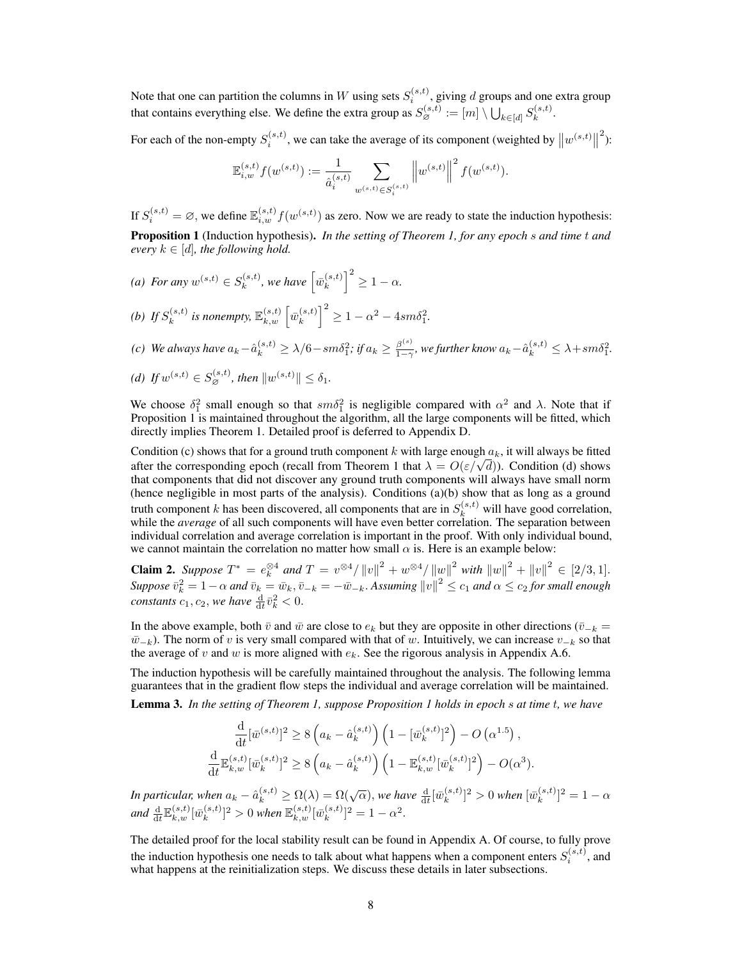Note that one can partition the columns in W using sets  $S_i^{(s,t)}$ , giving d groups and one extra group that contains everything else. We define the extra group as  $S^{(s,t)}_\varnothing:=[m]\setminus\bigcup_{k\in [d]}S^{(s,t)}_k$  $k^{(s,\iota)}.$ 

For each of the non-empty  $S_i^{(s,t)}$ , we can take the average of its component (weighted by  $||w^{(s,t)}||$  $\mathbf{1}$ ):

$$
\mathbb{E}_{i,w}^{(s,t)} f(w^{(s,t)}) := \frac{1}{\hat{a}_i^{(s,t)}} \sum_{w^{(s,t)} \in S_i^{(s,t)}} \left\| w^{(s,t)} \right\|^2 f(w^{(s,t)}).
$$

<span id="page-7-0"></span>If  $S_i^{(s,t)} = \emptyset$ , we define  $\mathbb{E}_{i,w}^{(s,t)} f(w^{(s,t)})$  as zero. Now we are ready to state the induction hypothesis: Proposition 1 (Induction hypothesis). *In the setting of Theorem [1,](#page-6-0) for any epoch* s *and time* t *and every*  $k \in [d]$ *, the following hold.* 

- (*a*) *For any*  $w^{(s,t)} \in S_k^{(s,t)}$  $\hat{w}_k^{(s,t)}$ , we have  $\left[\bar{w}_k^{(s,t)}\right]$  $\binom{(s,t)}{k}^2 \geq 1 - \alpha.$
- (b) If  $S_k^{(s,t)}$  $\bar{\mathbf{w}}_k^{(s,t)}$  is nonempty,  $\mathbb{E}_{k,w}^{(s,t)}$   $\left[\bar{w}_k^{(s,t)}\right]$  ${k \choose k}^2 \ge 1 - \alpha^2 - 4sm\delta_1^2.$

(c) We always have 
$$
a_k - \hat{a}_k^{(s,t)} \ge \lambda/6 - sm\delta_1^2
$$
; if  $a_k \ge \frac{\beta^{(s)}}{1-\gamma}$ , we further know  $a_k - \hat{a}_k^{(s,t)} \le \lambda + sm\delta_1^2$ .

(d) If 
$$
w^{(s,t)} \in S_{\varnothing}^{(s,t)}
$$
, then  $||w^{(s,t)}|| \leq \delta_1$ .

We choose  $\delta_1^2$  small enough so that  $sm\delta_1^2$  is negligible compared with  $\alpha^2$  and  $\lambda$ . Note that if Proposition [1](#page-7-0) is maintained throughout the algorithm, all the large components will be fitted, which directly implies Theorem [1.](#page-6-0) Detailed proof is deferred to Appendix [D.](#page--1-0)

Condition (c) shows that for a ground truth component k with large enough  $a_k$ , it will always be fitted Condition (c) shows that for a ground truth component  $\kappa$  with large enough  $a_k$ , it will always be fitted after the corresponding epoch (recall from Theorem [1](#page-6-0) that  $\lambda = O(\varepsilon/\sqrt{d})$ ). Condition (d) shows that components that did not discover any ground truth components will always have small norm (hence negligible in most parts of the analysis). Conditions (a)(b) show that as long as a ground truth component k has been discovered, all components that are in  $S_k^{(s,t)}$  will have good correlation, while the *average* of all such components will have even better correlation. The separation between individual correlation and average correlation is important in the proof. With only individual bound, we cannot maintain the correlation no matter how small  $\alpha$  is. Here is an example below:

**Claim 2.** Suppose  $T^* = e_k^{\otimes 4}$  and  $T = v^{\otimes 4} / ||v||^2 + w^{\otimes 4} / ||w||^2$  with  $||w||^2 + ||v||^2 \in [2/3, 1]$ .  $Suppose \ \bar{v}_k^2 = 1-\alpha$  and  $\bar{v}_k = \bar{w}_k, \bar{v}_{-k} = -\bar{w}_{-k}.$  Assuming  $\|v\|^2 \le c_1$  and  $\alpha \le c_2$  for small enough *constants*  $c_1, c_2$ , we have  $\frac{d}{dt}\bar{v}_k^2 < 0$ .

In the above example, both  $\bar{v}$  and  $\bar{w}$  are close to  $e_k$  but they are opposite in other directions ( $\bar{v}_{-k}$  =  $\bar{w}_{-k}$ ). The norm of v is very small compared with that of w. Intuitively, we can increase  $v_{-k}$  so that the average of v and w is more aligned with  $e_k$ . See the rigorous analysis in Appendix [A.6.](#page--1-1)

The induction hypothesis will be carefully maintained throughout the analysis. The following lemma guarantees that in the gradient flow steps the individual and average correlation will be maintained. Lemma 3. *In the setting of Theorem [1,](#page-6-0) suppose Proposition [1](#page-7-0) holds in epoch* s *at time* t*, we have*

$$
\frac{\mathrm{d}}{\mathrm{d}t} [\bar{w}^{(s,t)}]^{2} \ge 8 \left( a_{k} - \hat{a}_{k}^{(s,t)} \right) \left( 1 - [\bar{w}_{k}^{(s,t)}]^{2} \right) - O\left( \alpha^{1.5} \right),
$$
\n
$$
\frac{\mathrm{d}}{\mathrm{d}t} \mathbb{E}_{k,w}^{(s,t)} [\bar{w}_{k}^{(s,t)}]^{2} \ge 8 \left( a_{k} - \hat{a}_{k}^{(s,t)} \right) \left( 1 - \mathbb{E}_{k,w}^{(s,t)} [\bar{w}_{k}^{(s,t)}]^{2} \right) - O(\alpha^{3}).
$$

In particular, when  $a_k - \hat{a}_k^{(s,t)} \ge \Omega(\lambda) = \Omega(\sqrt{\alpha}),$  we have  $\frac{d}{dt}[\bar{w}_k^{(s,t)}]$  $_{k}^{(s,t)}$ ]<sup>2</sup> > 0 when  $[\bar{w}_{k}^{(s,t)}]$  ${k^{(s,t)}}^2 = 1 - \alpha$ and  $\frac{\mathrm{d}}{\mathrm{d}t} \mathbb{E}_{k,w}^{(s,t)} [\bar{w}^{(s,t)}_k$  $[\bar{w}_k^{(s,t)}]^2 > 0$  when  $\mathbb{E}_{k,w}^{(s,t)}[\bar{w}_k^{(s,t)}]$  ${k^{(s,t)}}^2 = 1 - \alpha^2.$ 

The detailed proof for the local stability result can be found in Appendix [A.](#page--1-2) Of course, to fully prove the induction hypothesis one needs to talk about what happens when a component enters  $S_i^{(s,t)}$ , and what happens at the reinitialization steps. We discuss these details in later subsections.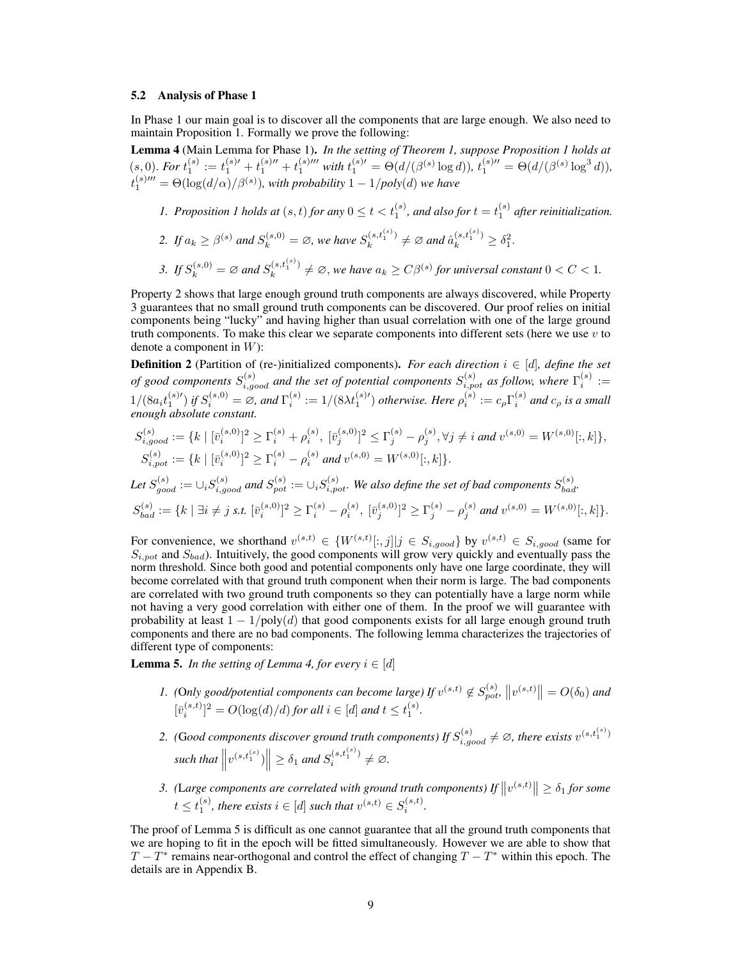#### <span id="page-8-0"></span>5.2 Analysis of Phase 1

In Phase 1 our main goal is to discover all the components that are large enough. We also need to maintain Proposition [1.](#page-7-0) Formally we prove the following:

<span id="page-8-1"></span>Lemma 4 (Main Lemma for Phase 1). *In the setting of Theorem [1,](#page-6-0) suppose Proposition [1](#page-7-0) holds at*  $(s, 0)$ . For  $t_1^{(s)} := t_1^{(s)\prime\prime} + t_1^{(s)\prime\prime\prime} + t_1^{(s)\prime\prime\prime}$  with  $t_1^{(s)\prime} = \Theta(d/(\beta^{(s)} \log d))$ ,  $t_1^{(s)\prime\prime} = \Theta(d/(\beta^{(s)} \log^3 d))$ ,  $t_1^{(s) \prime \prime \prime} = \Theta(\log(d/\alpha)/\beta^{(s)}),$  with probability  $1 - 1/poly(d)$  we have

- [1](#page-7-0). Proposition 1 holds at  $(s, t)$  for any  $0 \le t < t_1^{(s)}$ , and also for  $t = t_1^{(s)}$  after reinitialization.
- 2. If  $a_k \geq \beta^{(s)}$  and  $S_k^{(s,0)} = \emptyset$ , we have  $S_k^{(s,t_1^{(s)})}$  $a_k^{(s,t_1^{(s)})} \neq \emptyset$  and  $\hat{a}_k^{(s,t_1^{(s)})} \geq \delta_1^2$ .
- 3. If  $S_k^{(s,0)} = \emptyset$  and  $S_k^{(s,t_1^{(s)})}$  $\mathcal{L}_{k}^{(s,t_1^{(s)})} \neq \emptyset$ , we have  $a_k \geq C\beta^{(s)}$  for universal constant  $0 < C < 1$ .

Property 2 shows that large enough ground truth components are always discovered, while Property 3 guarantees that no small ground truth components can be discovered. Our proof relies on initial components being "lucky" and having higher than usual correlation with one of the large ground truth components. To make this clear we separate components into different sets (here we use  $v$  to denote a component in  $W$ ):

**Definition 2** (Partition of (re-)initialized components). *For each direction*  $i \in [d]$ *, define the set of good components*  $S_{i,good}^{(s)}$  and the set of potential components  $S_{i,pot}^{(s)}$  as follow, where  $\Gamma_i^{(s)}$  :=  $1/(8a_i t_1^{(s) \prime})$  if  $S_i^{(s,0)} = \emptyset$ , and  $\Gamma_i^{(s)} := 1/(8\lambda t_1^{(s) \prime})$  otherwise. Here  $\rho_i^{(s)} := c_{\rho} \Gamma_i^{(s)}$  and  $c_{\rho}$  is a small *enough absolute constant.*

$$
S_{i, good}^{(s)} := \{ k \mid [\bar{v}_i^{(s,0)}]^2 \ge \Gamma_i^{(s)} + \rho_i^{(s)}, [\bar{v}_j^{(s,0)}]^2 \le \Gamma_j^{(s)} - \rho_j^{(s)}, \forall j \ne i \text{ and } v^{(s,0)} = W^{(s,0)}[:, k] \},
$$
  

$$
S_{i, pot}^{(s)} := \{ k \mid [\bar{v}_i^{(s,0)}]^2 \ge \Gamma_i^{(s)} - \rho_i^{(s)} \text{ and } v^{(s,0)} = W^{(s,0)}[:, k] \}.
$$

Let 
$$
S_{good}^{(s)} := \bigcup_i S_{i, good}^{(s)}
$$
 and  $S_{pot}^{(s)} := \bigcup_i S_{i, pot}^{(s)}$ . We also define the set of bad components  $S_{bad}^{(s)}$ .  
\n $S_{bad}^{(s)} := \{k \mid \exists i \neq j \text{ s.t. } [\bar{v}_i^{(s,0)}]^2 \ge \Gamma_i^{(s)} - \rho_i^{(s)}, [\bar{v}_j^{(s,0)}]^2 \ge \Gamma_j^{(s)} - \rho_j^{(s)}$  and  $v^{(s,0)} = W^{(s,0)}[:, k]\}$ .

For convenience, we shorthand  $v^{(s,t)} \in \{W^{(s,t)}[:,j] \mid j \in S_{i,good}\}$  by  $v^{(s,t)} \in S_{i,good}$  (same for  $S_{i,pot}$  and  $S_{bad}$ ). Intuitively, the good components will grow very quickly and eventually pass the norm threshold. Since both good and potential components only have one large coordinate, they will become correlated with that ground truth component when their norm is large. The bad components are correlated with two ground truth components so they can potentially have a large norm while not having a very good correlation with either one of them. In the proof we will guarantee with probability at least  $1 - 1/poly(d)$  that good components exists for all large enough ground truth components and there are no bad components. The following lemma characterizes the trajectories of different type of components:

<span id="page-8-2"></span>**Lemma 5.** *In the setting of Lemma [4,](#page-8-1) for every*  $i \in [d]$ 

- *1.* (Only good/potential components can become large) If  $v^{(s,t)} \notin S_{pot}^{(s)}$ ,  $||v^{(s,t)}|| = O(\delta_0)$  and  $[\bar{v}_i^{(s,t)}]^2 = O(\log(d)/d)$  *for all*  $i \in [d]$  *and*  $t \le t_1^{(s)}$ *.*
- 2. (Good components discover ground truth components) If  $S_{i,good}^{(s)} \neq \emptyset$ , there exists  $v^{(s,t_1^{(s)})}$  $\text{such that } \left\| v^{(s,t_1^{(s)})} \right\| \geq \delta_1 \text{ and } S_i^{(s,t_1^{(s)})}$  $i^{(s,t_1^{(s)})} \neq \varnothing.$
- 3. (Large components are correlated with ground truth components) If  $||v^{(s,t)}|| \geq \delta_1$  for some  $t \leq t_1^{(s)}$ , there exists  $i \in [d]$  such that  $v^{(s,t)} \in S_i^{(s,t)}$ .

The proof of Lemma [5](#page-8-2) is difficult as one cannot guarantee that all the ground truth components that we are hoping to fit in the epoch will be fitted simultaneously. However we are able to show that  $T - T^*$  remains near-orthogonal and control the effect of changing  $T - T^*$  within this epoch. The details are in Appendix [B.](#page--1-3)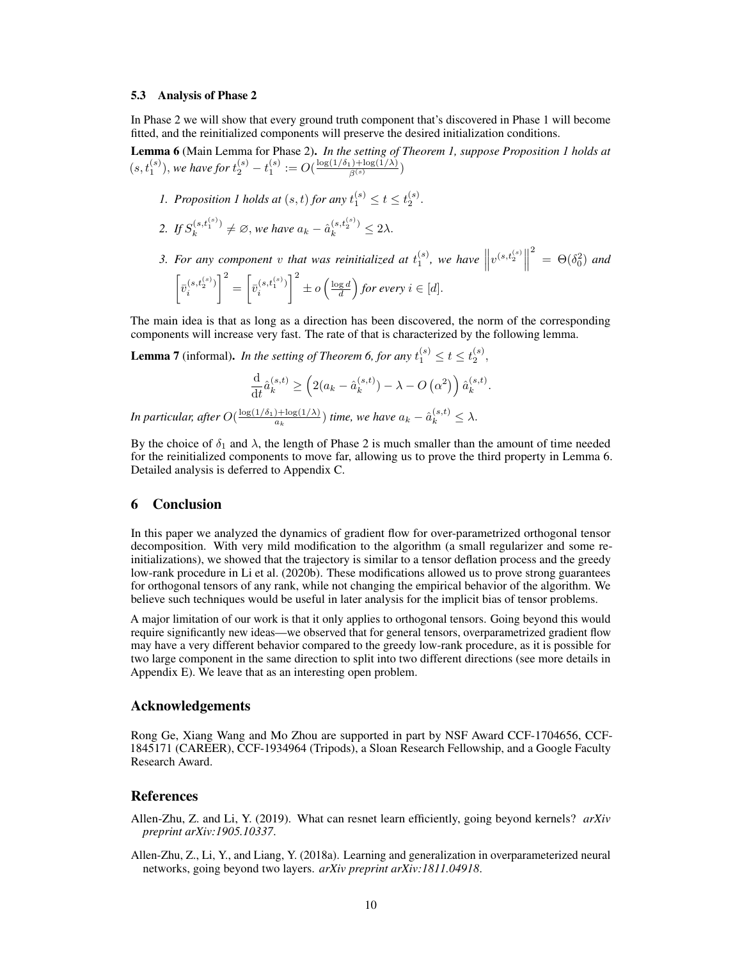#### <span id="page-9-3"></span>5.3 Analysis of Phase 2

In Phase 2 we will show that every ground truth component that's discovered in Phase 1 will become fitted, and the reinitialized components will preserve the desired initialization conditions.

<span id="page-9-4"></span>Lemma 6 (Main Lemma for Phase 2). *In the setting of Theorem [1,](#page-6-0) suppose Proposition [1](#page-7-0) holds at*  $(s, t_1^{(s)}),$  we have for  $t_2^{(s)} - t_1^{(s)} := O(\frac{\log(1/\delta_1) + \log(1/\lambda)}{\beta^{(s)}})$ 

- *[1](#page-7-0).* Proposition 1 holds at  $(s, t)$  for any  $t_1^{(s)} \le t \le t_2^{(s)}$ .
- 2. *If*  $S_k^{(s,t_1^{(s)})}$  $\hat{a}_k^{(s,t_1^{(s)})} \neq \emptyset$ , we have  $a_k - \hat{a}_k^{(s,t_2^{(s)})} \leq 2\lambda$ .
- 3. For any component v that was reinitialized at  $t_1^{(s)}$ , we have  $\left\| v^{(s,t_2^{(s)}} \right\|$ <sup>2</sup> =  $\Theta(\delta_0^2)$  and  $\left[\overline{v}_i^{(s,t_2^{(s)})}\right]$ i  $\left[\bar{v}_{i}^{(s,t_{1}^{(s)})}\right]$ i  $\int_0^2 \pm o\left(\frac{\log d}{d}\right)$  for every  $i \in [d]$ .

The main idea is that as long as a direction has been discovered, the norm of the corresponding components will increase very fast. The rate of that is characterized by the following lemma.

**Lemma 7** (informal). *In the setting of Theorem [6,](#page-9-4) for any*  $t_1^{(s)} \le t \le t_2^{(s)}$ ,

$$
\frac{\mathrm{d}}{\mathrm{d}t}\hat{a}_k^{(s,t)} \ge \left(2(a_k - \hat{a}_k^{(s,t)}) - \lambda - O\left(\alpha^2\right)\right)\hat{a}_k^{(s,t)}.
$$
  
In particular, after  $O(\frac{\log(1/\delta_1) + \log(1/\lambda)}{a_k})$  time, we have  $a_k - \hat{a}_k^{(s,t)} \le \lambda$ .

By the choice of  $\delta_1$  and  $\lambda$ , the length of Phase 2 is much smaller than the amount of time needed for the reinitialized components to move far, allowing us to prove the third property in Lemma [6.](#page-9-4) Detailed analysis is deferred to Appendix [C.](#page--1-4)

#### <span id="page-9-2"></span>6 Conclusion

In this paper we analyzed the dynamics of gradient flow for over-parametrized orthogonal tensor decomposition. With very mild modification to the algorithm (a small regularizer and some reinitializations), we showed that the trajectory is similar to a tensor deflation process and the greedy low-rank procedure in [Li et al.](#page-11-3) [\(2020b\)](#page-11-3). These modifications allowed us to prove strong guarantees for orthogonal tensors of any rank, while not changing the empirical behavior of the algorithm. We believe such techniques would be useful in later analysis for the implicit bias of tensor problems.

A major limitation of our work is that it only applies to orthogonal tensors. Going beyond this would require significantly new ideas—we observed that for general tensors, overparametrized gradient flow may have a very different behavior compared to the greedy low-rank procedure, as it is possible for two large component in the same direction to split into two different directions (see more details in Appendix [E\)](#page--1-5). We leave that as an interesting open problem.

### Acknowledgements

Rong Ge, Xiang Wang and Mo Zhou are supported in part by NSF Award CCF-1704656, CCF-1845171 (CAREER), CCF-1934964 (Tripods), a Sloan Research Fellowship, and a Google Faculty Research Award.

# References

- <span id="page-9-1"></span>Allen-Zhu, Z. and Li, Y. (2019). What can resnet learn efficiently, going beyond kernels? *arXiv preprint arXiv:1905.10337*.
- <span id="page-9-0"></span>Allen-Zhu, Z., Li, Y., and Liang, Y. (2018a). Learning and generalization in overparameterized neural networks, going beyond two layers. *arXiv preprint arXiv:1811.04918*.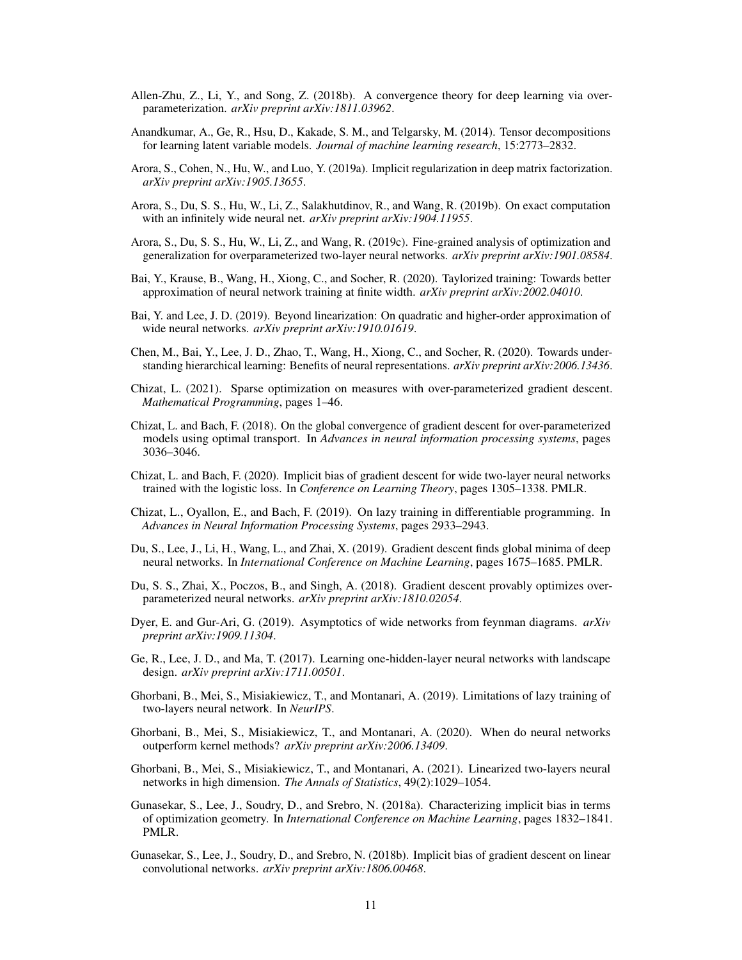- <span id="page-10-1"></span>Allen-Zhu, Z., Li, Y., and Song, Z. (2018b). A convergence theory for deep learning via overparameterization. *arXiv preprint arXiv:1811.03962*.
- <span id="page-10-5"></span>Anandkumar, A., Ge, R., Hsu, D., Kakade, S. M., and Telgarsky, M. (2014). Tensor decompositions for learning latent variable models. *Journal of machine learning research*, 15:2773–2832.
- <span id="page-10-19"></span>Arora, S., Cohen, N., Hu, W., and Luo, Y. (2019a). Implicit regularization in deep matrix factorization. *arXiv preprint arXiv:1905.13655*.
- <span id="page-10-3"></span>Arora, S., Du, S. S., Hu, W., Li, Z., Salakhutdinov, R., and Wang, R. (2019b). On exact computation with an infinitely wide neural net. *arXiv preprint arXiv:1904.11955*.
- <span id="page-10-8"></span>Arora, S., Du, S. S., Hu, W., Li, Z., and Wang, R. (2019c). Fine-grained analysis of optimization and generalization for overparameterized two-layer neural networks. *arXiv preprint arXiv:1901.08584*.
- <span id="page-10-14"></span>Bai, Y., Krause, B., Wang, H., Xiong, C., and Socher, R. (2020). Taylorized training: Towards better approximation of neural network training at finite width. *arXiv preprint arXiv:2002.04010*.
- <span id="page-10-13"></span>Bai, Y. and Lee, J. D. (2019). Beyond linearization: On quadratic and higher-order approximation of wide neural networks. *arXiv preprint arXiv:1910.01619*.
- <span id="page-10-15"></span>Chen, M., Bai, Y., Lee, J. D., Zhao, T., Wang, H., Xiong, C., and Socher, R. (2020). Towards understanding hierarchical learning: Benefits of neural representations. *arXiv preprint arXiv:2006.13436*.
- <span id="page-10-6"></span>Chizat, L. (2021). Sparse optimization on measures with over-parameterized gradient descent. *Mathematical Programming*, pages 1–46.
- <span id="page-10-4"></span>Chizat, L. and Bach, F. (2018). On the global convergence of gradient descent for over-parameterized models using optimal transport. In *Advances in neural information processing systems*, pages 3036–3046.
- <span id="page-10-20"></span>Chizat, L. and Bach, F. (2020). Implicit bias of gradient descent for wide two-layer neural networks trained with the logistic loss. In *Conference on Learning Theory*, pages 1305–1338. PMLR.
- <span id="page-10-2"></span>Chizat, L., Oyallon, E., and Bach, F. (2019). On lazy training in differentiable programming. In *Advances in Neural Information Processing Systems*, pages 2933–2943.
- <span id="page-10-7"></span>Du, S., Lee, J., Li, H., Wang, L., and Zhai, X. (2019). Gradient descent finds global minima of deep neural networks. In *International Conference on Machine Learning*, pages 1675–1685. PMLR.
- <span id="page-10-0"></span>Du, S. S., Zhai, X., Poczos, B., and Singh, A. (2018). Gradient descent provably optimizes overparameterized neural networks. *arXiv preprint arXiv:1810.02054*.
- <span id="page-10-12"></span>Dyer, E. and Gur-Ari, G. (2019). Asymptotics of wide networks from feynman diagrams. *arXiv preprint arXiv:1909.11304*.
- <span id="page-10-16"></span>Ge, R., Lee, J. D., and Ma, T. (2017). Learning one-hidden-layer neural networks with landscape design. *arXiv preprint arXiv:1711.00501*.
- <span id="page-10-10"></span>Ghorbani, B., Mei, S., Misiakiewicz, T., and Montanari, A. (2019). Limitations of lazy training of two-layers neural network. In *NeurIPS*.
- <span id="page-10-11"></span>Ghorbani, B., Mei, S., Misiakiewicz, T., and Montanari, A. (2020). When do neural networks outperform kernel methods? *arXiv preprint arXiv:2006.13409*.
- <span id="page-10-9"></span>Ghorbani, B., Mei, S., Misiakiewicz, T., and Montanari, A. (2021). Linearized two-layers neural networks in high dimension. *The Annals of Statistics*, 49(2):1029–1054.
- <span id="page-10-17"></span>Gunasekar, S., Lee, J., Soudry, D., and Srebro, N. (2018a). Characterizing implicit bias in terms of optimization geometry. In *International Conference on Machine Learning*, pages 1832–1841. PMLR.
- <span id="page-10-18"></span>Gunasekar, S., Lee, J., Soudry, D., and Srebro, N. (2018b). Implicit bias of gradient descent on linear convolutional networks. *arXiv preprint arXiv:1806.00468*.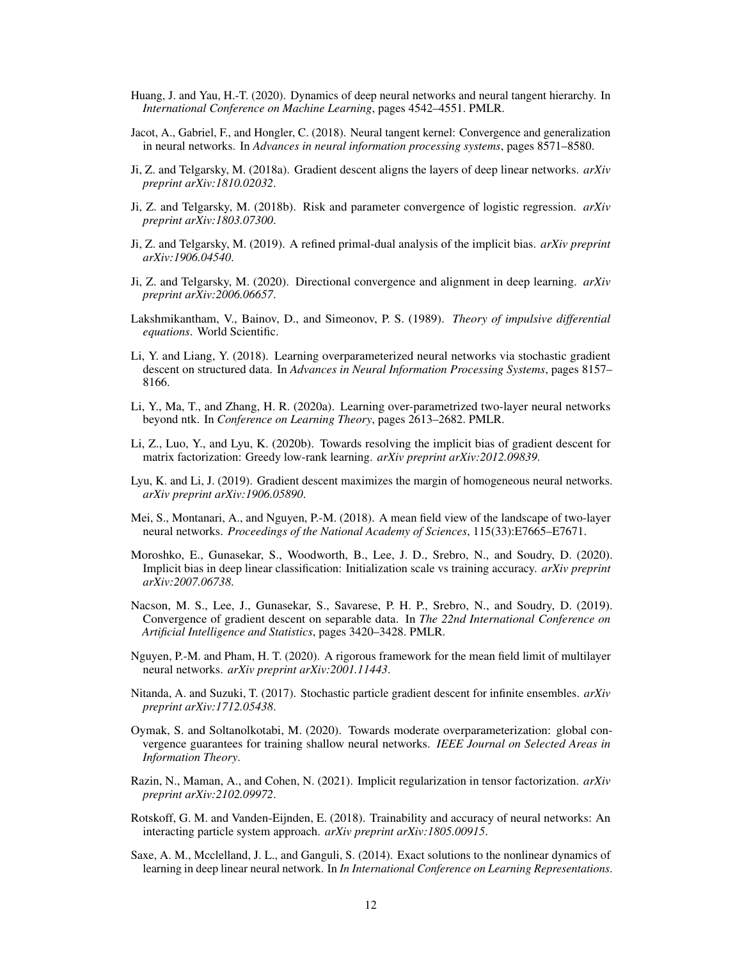- <span id="page-11-9"></span>Huang, J. and Yau, H.-T. (2020). Dynamics of deep neural networks and neural tangent hierarchy. In *International Conference on Machine Learning*, pages 4542–4551. PMLR.
- <span id="page-11-0"></span>Jacot, A., Gabriel, F., and Hongler, C. (2018). Neural tangent kernel: Convergence and generalization in neural networks. In *Advances in neural information processing systems*, pages 8571–8580.
- <span id="page-11-12"></span>Ji, Z. and Telgarsky, M. (2018a). Gradient descent aligns the layers of deep linear networks. *arXiv preprint arXiv:1810.02032*.
- <span id="page-11-13"></span>Ji, Z. and Telgarsky, M. (2018b). Risk and parameter convergence of logistic regression. *arXiv preprint arXiv:1803.07300*.
- <span id="page-11-14"></span>Ji, Z. and Telgarsky, M. (2019). A refined primal-dual analysis of the implicit bias. *arXiv preprint arXiv:1906.04540*.
- <span id="page-11-15"></span>Ji, Z. and Telgarsky, M. (2020). Directional convergence and alignment in deep learning. *arXiv preprint arXiv:2006.06657*.
- Lakshmikantham, V., Bainov, D., and Simeonov, P. S. (1989). *Theory of impulsive differential equations*. World Scientific.
- <span id="page-11-4"></span>Li, Y. and Liang, Y. (2018). Learning overparameterized neural networks via stochastic gradient descent on structured data. In *Advances in Neural Information Processing Systems*, pages 8157– 8166.
- <span id="page-11-2"></span>Li, Y., Ma, T., and Zhang, H. R. (2020a). Learning over-parametrized two-layer neural networks beyond ntk. In *Conference on Learning Theory*, pages 2613–2682. PMLR.
- <span id="page-11-3"></span>Li, Z., Luo, Y., and Lyu, K. (2020b). Towards resolving the implicit bias of gradient descent for matrix factorization: Greedy low-rank learning. *arXiv preprint arXiv:2012.09839*.
- <span id="page-11-17"></span>Lyu, K. and Li, J. (2019). Gradient descent maximizes the margin of homogeneous neural networks. *arXiv preprint arXiv:1906.05890*.
- <span id="page-11-1"></span>Mei, S., Montanari, A., and Nguyen, P.-M. (2018). A mean field view of the landscape of two-layer neural networks. *Proceedings of the National Academy of Sciences*, 115(33):E7665–E7671.
- <span id="page-11-16"></span>Moroshko, E., Gunasekar, S., Woodworth, B., Lee, J. D., Srebro, N., and Soudry, D. (2020). Implicit bias in deep linear classification: Initialization scale vs training accuracy. *arXiv preprint arXiv:2007.06738*.
- <span id="page-11-11"></span>Nacson, M. S., Lee, J., Gunasekar, S., Savarese, P. H. P., Srebro, N., and Soudry, D. (2019). Convergence of gradient descent on separable data. In *The 22nd International Conference on Artificial Intelligence and Statistics*, pages 3420–3428. PMLR.
- <span id="page-11-6"></span>Nguyen, P.-M. and Pham, H. T. (2020). A rigorous framework for the mean field limit of multilayer neural networks. *arXiv preprint arXiv:2001.11443*.
- <span id="page-11-7"></span>Nitanda, A. and Suzuki, T. (2017). Stochastic particle gradient descent for infinite ensembles. *arXiv preprint arXiv:1712.05438*.
- <span id="page-11-5"></span>Oymak, S. and Soltanolkotabi, M. (2020). Towards moderate overparameterization: global convergence guarantees for training shallow neural networks. *IEEE Journal on Selected Areas in Information Theory*.
- <span id="page-11-18"></span>Razin, N., Maman, A., and Cohen, N. (2021). Implicit regularization in tensor factorization. *arXiv preprint arXiv:2102.09972*.
- <span id="page-11-8"></span>Rotskoff, G. M. and Vanden-Eijnden, E. (2018). Trainability and accuracy of neural networks: An interacting particle system approach. *arXiv preprint arXiv:1805.00915*.
- <span id="page-11-10"></span>Saxe, A. M., Mcclelland, J. L., and Ganguli, S. (2014). Exact solutions to the nonlinear dynamics of learning in deep linear neural network. In *In International Conference on Learning Representations*.